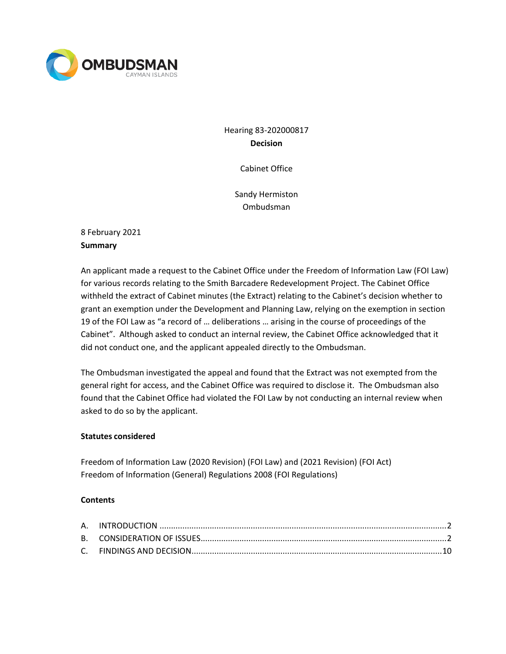

Hearing 83-202000817 **Decision**

Cabinet Office

Sandy Hermiston Ombudsman

8 February 2021 **Summary**

An applicant made a request to the Cabinet Office under the Freedom of Information Law (FOI Law) for various records relating to the Smith Barcadere Redevelopment Project. The Cabinet Office withheld the extract of Cabinet minutes (the Extract) relating to the Cabinet's decision whether to grant an exemption under the Development and Planning Law, relying on the exemption in section 19 of the FOI Law as "a record of … deliberations … arising in the course of proceedings of the Cabinet". Although asked to conduct an internal review, the Cabinet Office acknowledged that it did not conduct one, and the applicant appealed directly to the Ombudsman.

The Ombudsman investigated the appeal and found that the Extract was not exempted from the general right for access, and the Cabinet Office was required to disclose it. The Ombudsman also found that the Cabinet Office had violated the FOI Law by not conducting an internal review when asked to do so by the applicant.

## **Statutes considered**

Freedom of Information Law (2020 Revision) (FOI Law) and (2021 Revision) (FOI Act) Freedom of Information (General) Regulations 2008 (FOI Regulations)

## **Contents**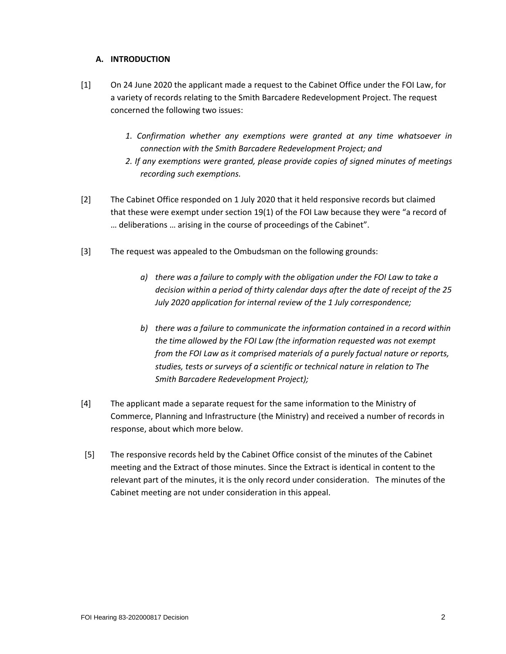## **A. INTRODUCTION**

- [1] On 24 June 2020 the applicant made a request to the Cabinet Office under the FOI Law, for a variety of records relating to the Smith Barcadere Redevelopment Project. The request concerned the following two issues:
	- *1. Confirmation whether any exemptions were granted at any time whatsoever in connection with the Smith Barcadere Redevelopment Project; and*
	- *2. If any exemptions were granted, please provide copies of signed minutes of meetings recording such exemptions.*
- [2] The Cabinet Office responded on 1 July 2020 that it held responsive records but claimed that these were exempt under section 19(1) of the FOI Law because they were "a record of … deliberations … arising in the course of proceedings of the Cabinet".
- [3] The request was appealed to the Ombudsman on the following grounds:
	- *a) there was a failure to comply with the obligation under the FOI Law to take a decision within a period of thirty calendar days after the date of receipt of the 25 July 2020 application for internal review of the 1 July correspondence;*
	- *b) there was a failure to communicate the information contained in a record within the time allowed by the FOI Law (the information requested was not exempt from the FOI Law as it comprised materials of a purely factual nature or reports, studies, tests or surveys of a scientific or technical nature in relation to The Smith Barcadere Redevelopment Project);*
- [4] The applicant made a separate request for the same information to the Ministry of Commerce, Planning and Infrastructure (the Ministry) and received a number of records in response, about which more below.
- [5] The responsive records held by the Cabinet Office consist of the minutes of the Cabinet meeting and the Extract of those minutes. Since the Extract is identical in content to the relevant part of the minutes, it is the only record under consideration. The minutes of the Cabinet meeting are not under consideration in this appeal.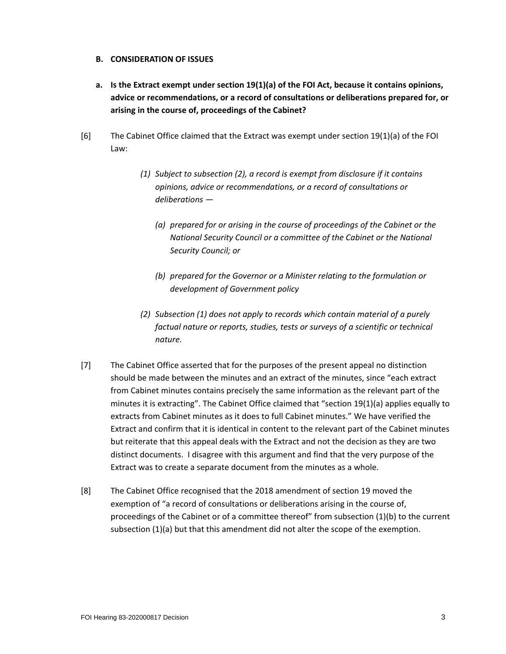### **B. CONSIDERATION OF ISSUES**

- **a. Is the Extract exempt under section 19(1)(a) of the FOI Act, because it contains opinions, advice or recommendations, or a record of consultations or deliberations prepared for, or arising in the course of, proceedings of the Cabinet?**
- [6] The Cabinet Office claimed that the Extract was exempt under section 19(1)(a) of the FOI Law:
	- *(1) Subject to subsection (2), a record is exempt from disclosure if it contains opinions, advice or recommendations, or a record of consultations or deliberations —*
		- *(a) prepared for or arising in the course of proceedings of the Cabinet or the National Security Council or a committee of the Cabinet or the National Security Council; or*
		- *(b) prepared for the Governor or a Minister relating to the formulation or development of Government policy*
	- *(2) Subsection (1) does not apply to records which contain material of a purely factual nature or reports, studies, tests or surveys of a scientific or technical nature.*
- [7] The Cabinet Office asserted that for the purposes of the present appeal no distinction should be made between the minutes and an extract of the minutes, since "each extract from Cabinet minutes contains precisely the same information as the relevant part of the minutes it is extracting". The Cabinet Office claimed that "section 19(1)(a) applies equally to extracts from Cabinet minutes as it does to full Cabinet minutes." We have verified the Extract and confirm that it is identical in content to the relevant part of the Cabinet minutes but reiterate that this appeal deals with the Extract and not the decision as they are two distinct documents. I disagree with this argument and find that the very purpose of the Extract was to create a separate document from the minutes as a whole.
- [8] The Cabinet Office recognised that the 2018 amendment of section 19 moved the exemption of "a record of consultations or deliberations arising in the course of, proceedings of the Cabinet or of a committee thereof" from subsection (1)(b) to the current subsection (1)(a) but that this amendment did not alter the scope of the exemption.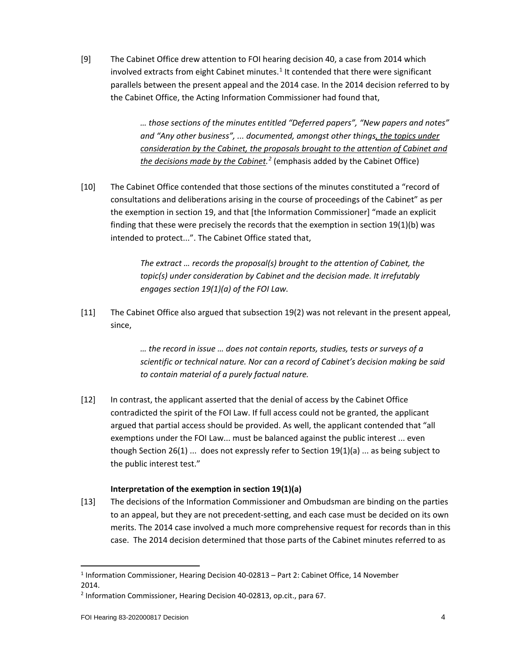[9] The Cabinet Office drew attention to FOI hearing decision 40, a case from 2014 which involved extracts from eight Cabinet minutes. $1$  It contended that there were significant parallels between the present appeal and the 2014 case. In the 2014 decision referred to by the Cabinet Office, the Acting Information Commissioner had found that,

> *… those sections of the minutes entitled "Deferred papers", "New papers and notes" and "Any other business", ... documented, amongst other things, the topics under consideration by the Cabinet, the proposals brought to the attention of Cabinet and the decisions made by the Cabinet. [2](#page-3-1)* (emphasis added by the Cabinet Office)

[10] The Cabinet Office contended that those sections of the minutes constituted a "record of consultations and deliberations arising in the course of proceedings of the Cabinet" as per the exemption in section 19, and that [the Information Commissioner] "made an explicit finding that these were precisely the records that the exemption in section 19(1)(b) was intended to protect...". The Cabinet Office stated that,

> *The extract … records the proposal(s) brought to the attention of Cabinet, the topic(s) under consideration by Cabinet and the decision made. It irrefutably engages section 19(1)(a) of the FOI Law.*

[11] The Cabinet Office also argued that subsection 19(2) was not relevant in the present appeal, since,

> *… the record in issue … does not contain reports, studies, tests or surveys of a scientific or technical nature. Nor can a record of Cabinet's decision making be said to contain material of a purely factual nature.*

[12] In contrast, the applicant asserted that the denial of access by the Cabinet Office contradicted the spirit of the FOI Law. If full access could not be granted, the applicant argued that partial access should be provided. As well, the applicant contended that "all exemptions under the FOI Law... must be balanced against the public interest ... even though Section 26(1) ... does not expressly refer to Section  $19(1)(a)$  ... as being subject to the public interest test."

## **Interpretation of the exemption in section 19(1)(a)**

[13] The decisions of the Information Commissioner and Ombudsman are binding on the parties to an appeal, but they are not precedent-setting, and each case must be decided on its own merits. The 2014 case involved a much more comprehensive request for records than in this case. The 2014 decision determined that those parts of the Cabinet minutes referred to as

<span id="page-3-0"></span><sup>&</sup>lt;sup>1</sup> Information Commissioner, Hearing Decision 40-02813 - Part 2: Cabinet Office, 14 November 2014.

<span id="page-3-1"></span><sup>2</sup> Information Commissioner, Hearing Decision 40-02813, op.cit., para 67.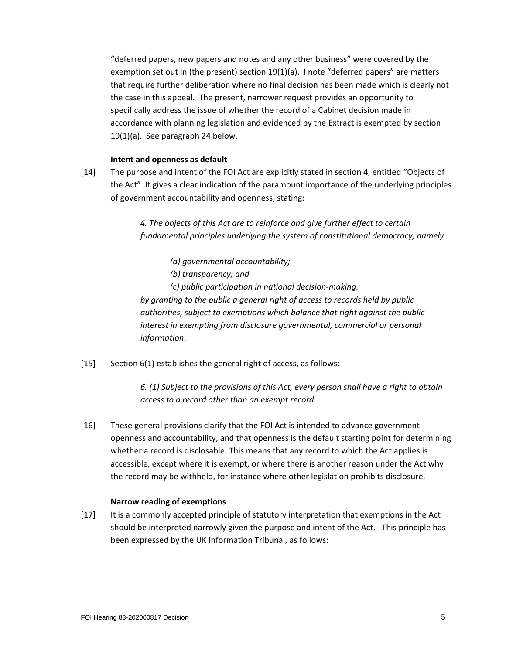"deferred papers, new papers and notes and any other business" were covered by the exemption set out in (the present) section 19(1)(a). I note "deferred papers" are matters that require further deliberation where no final decision has been made which is clearly not the case in this appeal. The present, narrower request provides an opportunity to specifically address the issue of whether the record of a Cabinet decision made in accordance with planning legislation and evidenced by the Extract is exempted by section 19(1)(a). See paragraph 24 below.

### **Intent and openness as default**

[14] The purpose and intent of the FOI Act are explicitly stated in section 4, entitled "Objects of the Act". It gives a clear indication of the paramount importance of the underlying principles of government accountability and openness, stating:

> *4. The objects of this Act are to reinforce and give further effect to certain fundamental principles underlying the system of constitutional democracy, namely —*

- *(a) governmental accountability;*
- *(b) transparency; and*

*(c) public participation in national decision-making, by granting to the public a general right of access to records held by public authorities, subject to exemptions which balance that right against the public interest in exempting from disclosure governmental, commercial or personal information*.

[15] Section 6(1) establishes the general right of access, as follows:

*6. (1) Subject to the provisions of this Act, every person shall have a right to obtain access to a record other than an exempt record.*

[16] These general provisions clarify that the FOI Act is intended to advance government openness and accountability, and that openness is the default starting point for determining whether a record is disclosable. This means that any record to which the Act applies is accessible, except where it is exempt, or where there is another reason under the Act why the record may be withheld, for instance where other legislation prohibits disclosure.

## **Narrow reading of exemptions**

[17] It is a commonly accepted principle of statutory interpretation that exemptions in the Act should be interpreted narrowly given the purpose and intent of the Act. This principle has been expressed by the UK Information Tribunal, as follows: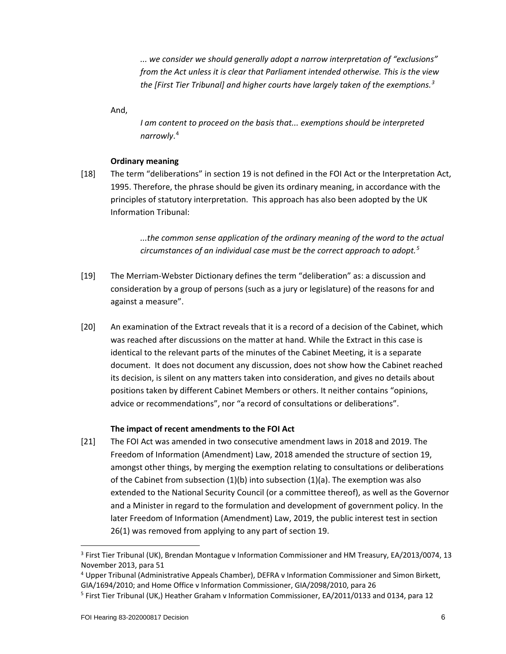*... we consider we should generally adopt a narrow interpretation of "exclusions" from the Act unless it is clear that Parliament intended otherwise. This is the view the [First Tier Tribunal] and higher courts have largely taken of the exemptions.[3](#page-5-0)*

And,

*I am content to proceed on the basis that... exemptions should be interpreted narrowly*. [4](#page-5-1)

## **Ordinary meaning**

[18] The term "deliberations" in section 19 is not defined in the FOI Act or the Interpretation Act, 1995. Therefore, the phrase should be given its ordinary meaning, in accordance with the principles of statutory interpretation. This approach has also been adopted by the UK Information Tribunal:

> *...the common sense application of the ordinary meaning of the word to the actual circumstances of an individual case must be the correct approach to adopt.[5](#page-5-2)*

- [19] The Merriam-Webster Dictionary defines the term "deliberation" as: a discussion and consideration by a group of persons (such as a jury or legislature) of the reasons for and against a measure".
- [20] An examination of the Extract reveals that it is a record of a decision of the Cabinet, which was reached after discussions on the matter at hand. While the Extract in this case is identical to the relevant parts of the minutes of the Cabinet Meeting, it is a separate document. It does not document any discussion, does not show how the Cabinet reached its decision, is silent on any matters taken into consideration, and gives no details about positions taken by different Cabinet Members or others. It neither contains "opinions, advice or recommendations", nor "a record of consultations or deliberations".

## **The impact of recent amendments to the FOI Act**

[21] The FOI Act was amended in two consecutive amendment laws in 2018 and 2019. The Freedom of Information (Amendment) Law, 2018 amended the structure of section 19, amongst other things, by merging the exemption relating to consultations or deliberations of the Cabinet from subsection  $(1)(b)$  into subsection  $(1)(a)$ . The exemption was also extended to the National Security Council (or a committee thereof), as well as the Governor and a Minister in regard to the formulation and development of government policy. In the later Freedom of Information (Amendment) Law, 2019, the public interest test in section 26(1) was removed from applying to any part of section 19.

<span id="page-5-0"></span><sup>&</sup>lt;sup>3</sup> First Tier Tribunal (UK), Brendan Montague v Information Commissioner and HM Treasury, EA/2013/0074, 13 November 2013, para 51

<span id="page-5-1"></span><sup>4</sup> Upper Tribunal (Administrative Appeals Chamber), DEFRA v Information Commissioner and Simon Birkett, GIA/1694/2010; and Home Office v Information Commissioner, GIA/2098/2010, para 26

<span id="page-5-2"></span><sup>&</sup>lt;sup>5</sup> First Tier Tribunal (UK,) Heather Graham v Information Commissioner, EA/2011/0133 and 0134, para 12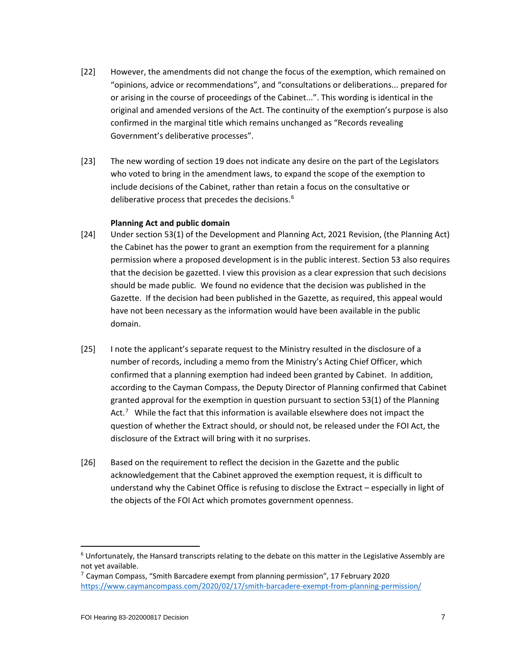- [22] However, the amendments did not change the focus of the exemption, which remained on "opinions, advice or recommendations", and "consultations or deliberations... prepared for or arising in the course of proceedings of the Cabinet...". This wording is identical in the original and amended versions of the Act. The continuity of the exemption's purpose is also confirmed in the marginal title which remains unchanged as "Records revealing Government's deliberative processes".
- [23] The new wording of section 19 does not indicate any desire on the part of the Legislators who voted to bring in the amendment laws, to expand the scope of the exemption to include decisions of the Cabinet, rather than retain a focus on the consultative or deliberative process that precedes the decisions.<sup>[6](#page-6-0)</sup>

### **Planning Act and public domain**

- [24] Under section 53(1) of the Development and Planning Act, 2021 Revision, (the Planning Act) the Cabinet has the power to grant an exemption from the requirement for a planning permission where a proposed development is in the public interest. Section 53 also requires that the decision be gazetted. I view this provision as a clear expression that such decisions should be made public. We found no evidence that the decision was published in the Gazette. If the decision had been published in the Gazette, as required, this appeal would have not been necessary as the information would have been available in the public domain.
- [25] I note the applicant's separate request to the Ministry resulted in the disclosure of a number of records, including a memo from the Ministry's Acting Chief Officer, which confirmed that a planning exemption had indeed been granted by Cabinet. In addition, according to the Cayman Compass, the Deputy Director of Planning confirmed that Cabinet granted approval for the exemption in question pursuant to section 53(1) of the Planning Act.<sup>[7](#page-6-1)</sup> While the fact that this information is available elsewhere does not impact the question of whether the Extract should, or should not, be released under the FOI Act, the disclosure of the Extract will bring with it no surprises.
- [26] Based on the requirement to reflect the decision in the Gazette and the public acknowledgement that the Cabinet approved the exemption request, it is difficult to understand why the Cabinet Office is refusing to disclose the Extract – especially in light of the objects of the FOI Act which promotes government openness.

<span id="page-6-0"></span><sup>&</sup>lt;sup>6</sup> Unfortunately, the Hansard transcripts relating to the debate on this matter in the Legislative Assembly are not yet available.

<span id="page-6-1"></span> $7$  Cayman Compass, "Smith Barcadere exempt from planning permission", 17 February 2020 <https://www.caymancompass.com/2020/02/17/smith-barcadere-exempt-from-planning-permission/>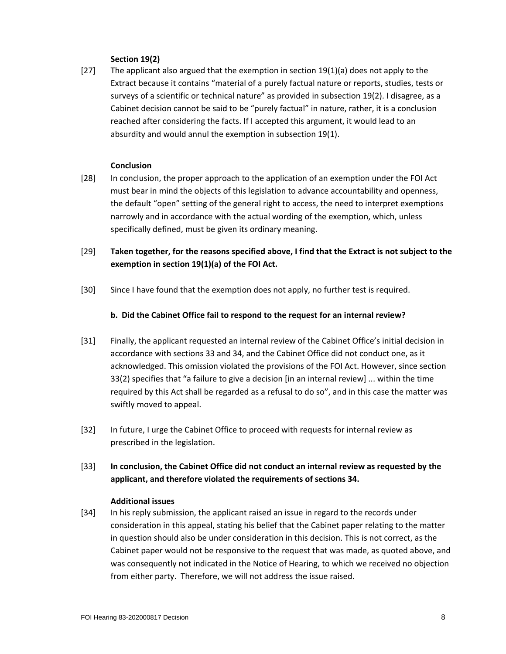## **Section 19(2)**

[27] The applicant also argued that the exemption in section  $19(1)(a)$  does not apply to the Extract because it contains "material of a purely factual nature or reports, studies, tests or surveys of a scientific or technical nature" as provided in subsection 19(2). I disagree, as a Cabinet decision cannot be said to be "purely factual" in nature, rather, it is a conclusion reached after considering the facts. If I accepted this argument, it would lead to an absurdity and would annul the exemption in subsection 19(1).

### **Conclusion**

- [28] In conclusion, the proper approach to the application of an exemption under the FOI Act must bear in mind the objects of this legislation to advance accountability and openness, the default "open" setting of the general right to access, the need to interpret exemptions narrowly and in accordance with the actual wording of the exemption, which, unless specifically defined, must be given its ordinary meaning.
- [29] **Taken together, for the reasons specified above, I find that the Extract is not subject to the exemption in section 19(1)(a) of the FOI Act.**
- [30] Since I have found that the exemption does not apply, no further test is required.

### **b. Did the Cabinet Office fail to respond to the request for an internal review?**

- [31] Finally, the applicant requested an internal review of the Cabinet Office's initial decision in accordance with sections 33 and 34, and the Cabinet Office did not conduct one, as it acknowledged. This omission violated the provisions of the FOI Act. However, since section 33(2) specifies that "a failure to give a decision [in an internal review] ... within the time required by this Act shall be regarded as a refusal to do so", and in this case the matter was swiftly moved to appeal.
- [32] In future, I urge the Cabinet Office to proceed with requests for internal review as prescribed in the legislation.

## [33] **In conclusion, the Cabinet Office did not conduct an internal review as requested by the applicant, and therefore violated the requirements of sections 34.**

#### **Additional issues**

[34] In his reply submission, the applicant raised an issue in regard to the records under consideration in this appeal, stating his belief that the Cabinet paper relating to the matter in question should also be under consideration in this decision. This is not correct, as the Cabinet paper would not be responsive to the request that was made, as quoted above, and was consequently not indicated in the Notice of Hearing, to which we received no objection from either party. Therefore, we will not address the issue raised.